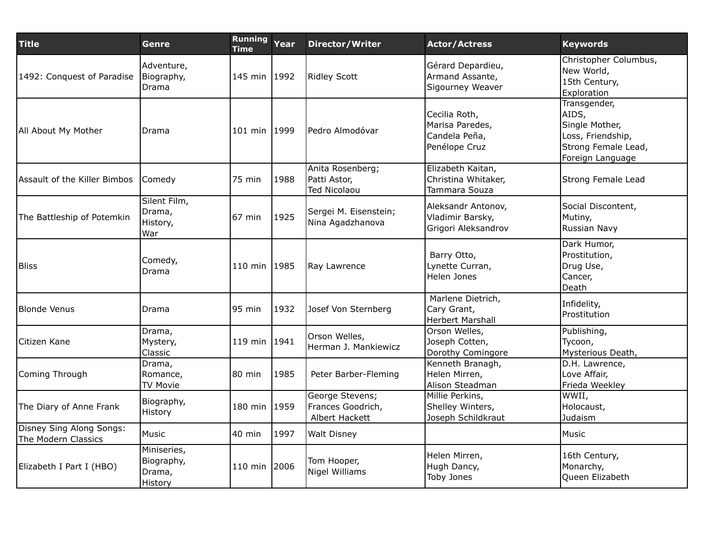| <b>Title</b>                                    | Genre                                          | Running<br><b>Time</b> | Year | <b>Director/Writer</b>                                  | <b>Actor/Actress</b>                                               | <b>Keywords</b>                                                                                         |
|-------------------------------------------------|------------------------------------------------|------------------------|------|---------------------------------------------------------|--------------------------------------------------------------------|---------------------------------------------------------------------------------------------------------|
| 1492: Conquest of Paradise                      | Adventure,<br>Biography,<br>Drama              | 145 min 1992           |      | Ridley Scott                                            | Gérard Depardieu,<br>Armand Assante,<br>Sigourney Weaver           | Christopher Columbus,<br>New World,<br>15th Century,<br>Exploration                                     |
| All About My Mother                             | Drama                                          | 101 min 1999           |      | Pedro Almodóvar                                         | Cecilia Roth,<br>Marisa Paredes,<br>Candela Peña,<br>Penélope Cruz | Transgender,<br>AIDS,<br>Single Mother,<br>Loss, Friendship,<br>Strong Female Lead,<br>Foreign Language |
| Assault of the Killer Bimbos                    | Comedy                                         | 75 min                 | 1988 | Anita Rosenberg;<br>Patti Astor,<br><b>Ted Nicolaou</b> | Elizabeth Kaitan,<br>Christina Whitaker,<br>Tammara Souza          | Strong Female Lead                                                                                      |
| The Battleship of Potemkin                      | Silent Film,<br>Drama,<br>History,<br>War      | 67 min                 | 1925 | Sergei M. Eisenstein;<br>Nina Agadzhanova               | Aleksandr Antonov,<br>Vladimir Barsky,<br>Grigori Aleksandrov      | Social Discontent,<br>Mutiny,<br>Russian Navy                                                           |
| <b>Bliss</b>                                    | Comedy,<br>Drama                               | 110 min 1985           |      | Ray Lawrence                                            | Barry Otto,<br>Lynette Curran,<br>Helen Jones                      | Dark Humor,<br>Prostitution,<br>Drug Use,<br>Cancer,<br>Death                                           |
| Blonde Venus                                    | Drama                                          | 95 min                 | 1932 | Josef Von Sternberg                                     | Marlene Dietrich,<br>Cary Grant,<br><b>Herbert Marshall</b>        | Infidelity,<br>Prostitution                                                                             |
| lCitizen Kane                                   | Drama,<br>Mystery,<br>Classic                  | 119 min 1941           |      | Orson Welles,<br>Herman J. Mankiewicz                   | Orson Welles,<br>Joseph Cotten,<br>Dorothy Comingore               | Publishing,<br>Tycoon,<br>Mysterious Death,                                                             |
| Coming Through                                  | Drama,<br>Romance,<br><b>TV Movie</b>          | 80 min                 | 1985 | Peter Barber-Fleming                                    | Kenneth Branagh,<br>Helen Mirren,<br>Alison Steadman               | D.H. Lawrence,<br>Love Affair,<br>Frieda Weekley                                                        |
| The Diary of Anne Frank                         | Biography,<br>History                          | 180 min                | 1959 | George Stevens;<br>Frances Goodrich,<br>Albert Hackett  | Millie Perkins,<br>Shelley Winters,<br>Joseph Schildkraut          | WWII,<br>Holocaust,<br>Judaism                                                                          |
| Disney Sing Along Songs:<br>The Modern Classics | Music                                          | 40 min                 | 1997 | <b>Walt Disney</b>                                      |                                                                    | Music                                                                                                   |
| Elizabeth I Part I (HBO)                        | Miniseries,<br>Biography,<br>Drama,<br>History | 110 min                | 2006 | Tom Hooper,<br>Nigel Williams                           | Helen Mirren,<br>Hugh Dancy,<br>Toby Jones                         | 16th Century,<br>Monarchy,<br>Queen Elizabeth                                                           |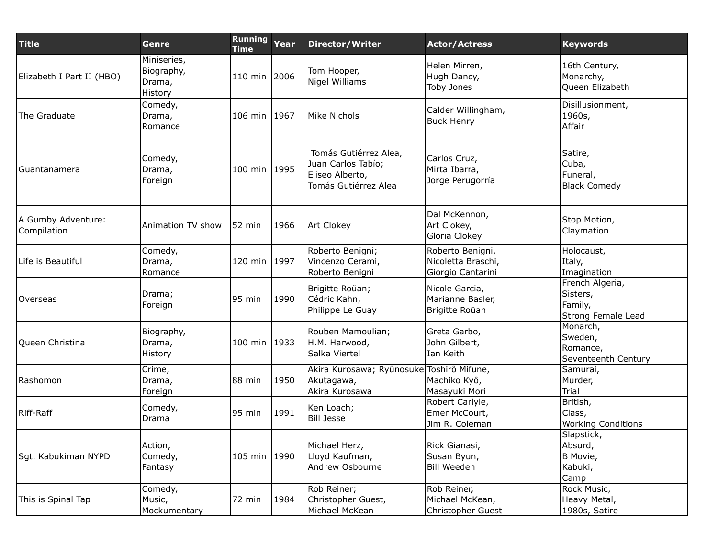| <b>Title</b>                      | Genre                                          | <b>Running</b><br><b>Time</b> | Year | <b>Director/Writer</b>                                                                 | <b>Actor/Actress</b>                                        | <b>Keywords</b>                                              |
|-----------------------------------|------------------------------------------------|-------------------------------|------|----------------------------------------------------------------------------------------|-------------------------------------------------------------|--------------------------------------------------------------|
| Elizabeth I Part II (HBO)         | Miniseries,<br>Biography,<br>Drama,<br>History | 110 min 2006                  |      | Tom Hooper,<br>Nigel Williams                                                          | Helen Mirren,<br>Hugh Dancy,<br>Toby Jones                  | 16th Century,<br>Monarchy,<br>Queen Elizabeth                |
| The Graduate                      | Comedy,<br>Drama,<br>Romance                   | 106 min 1967                  |      | Mike Nichols                                                                           | Calder Willingham,<br><b>Buck Henry</b>                     | Disillusionment,<br>1960s,<br>Affair                         |
| Guantanamera                      | Comedy,<br>Drama,<br>Foreign                   | 100 min 1995                  |      | Tomás Gutiérrez Alea,<br>Juan Carlos Tabío;<br>Eliseo Alberto,<br>Tomás Gutiérrez Alea | Carlos Cruz,<br>Mirta Ibarra,<br>Jorge Perugorría           | Satire,<br>Cuba,<br>Funeral,<br><b>Black Comedy</b>          |
| A Gumby Adventure:<br>Compilation | Animation TV show                              | 52 min                        | 1966 | Art Clokey                                                                             | Dal McKennon,<br>Art Clokey,<br>Gloria Clokey               | Stop Motion,<br>Claymation                                   |
| Life is Beautiful                 | Comedy,<br>Drama,<br>Romance                   | 120 min                       | 1997 | Roberto Benigni;<br>Vincenzo Cerami,<br>Roberto Benigni                                | Roberto Benigni,<br>Nicoletta Braschi,<br>Giorgio Cantarini | Holocaust,<br>Italy,<br>Imagination                          |
| <b>Overseas</b>                   | Drama;<br>Foreign                              | 95 min                        | 1990 | Brigitte Roüan;<br>Cédric Kahn,<br>Philippe Le Guay                                    | Nicole Garcia,<br>Marianne Basler,<br>Brigitte Roüan        | French Algeria,<br>Sisters,<br>Family,<br>Strong Female Lead |
| Queen Christina                   | Biography,<br>Drama,<br>History                | 100 min 1933                  |      | Rouben Mamoulian;<br>H.M. Harwood,<br>Salka Viertel                                    | Greta Garbo,<br>John Gilbert,<br>Ian Keith                  | Monarch,<br>Sweden,<br>Romance,<br>Seventeenth Century       |
| Rashomon                          | Crime,<br>Drama,<br>Foreign                    | 88 min                        | 1950 | Akira Kurosawa; Ryûnosuke Toshirô Mifune,<br>Akutagawa,<br>Akira Kurosawa              | Machiko Kyô,<br>Masayuki Mori                               | Samurai,<br>Murder,<br><b>Trial</b>                          |
| Riff-Raff                         | Comedy,<br>Drama                               | 95 min                        | 1991 | Ken Loach;<br><b>Bill Jesse</b>                                                        | Robert Carlyle,<br>Emer McCourt,<br>Jim R. Coleman          | British,<br>Class,<br><b>Working Conditions</b>              |
| Sgt. Kabukiman NYPD               | Action,<br>Comedy,<br>Fantasy                  | 105 min 1990                  |      | Michael Herz,<br>Lloyd Kaufman,<br>Andrew Osbourne                                     | Rick Gianasi,<br>Susan Byun,<br><b>Bill Weeden</b>          | Slapstick,<br>Absurd,<br>B Movie,<br>Kabuki,<br>Camp         |
| This is Spinal Tap                | Comedy,<br>Music,<br>Mockumentary              | 72 min                        | 1984 | Rob Reiner;<br>Christopher Guest,<br>Michael McKean                                    | Rob Reiner,<br>Michael McKean,<br>Christopher Guest         | Rock Music,<br>Heavy Metal,<br>1980s, Satire                 |